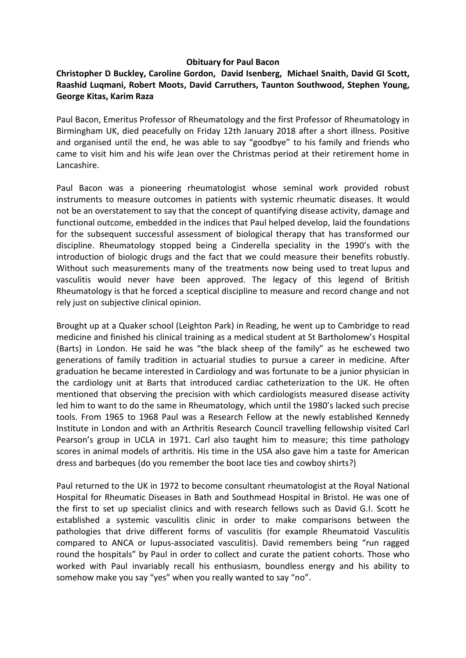## **Obituary for Paul Bacon**

## **Christopher D Buckley, Caroline Gordon, David Isenberg, Michael Snaith, David GI Scott, Raashid Luqmani, Robert Moots, David Carruthers, Taunton Southwood, Stephen Young, George Kitas, Karim Raza**

Paul Bacon, Emeritus Professor of Rheumatology and the first Professor of Rheumatology in Birmingham UK, died peacefully on Friday 12th January 2018 after a short illness. Positive and organised until the end, he was able to say "goodbye" to his family and friends who came to visit him and his wife Jean over the Christmas period at their retirement home in Lancashire.

Paul Bacon was a pioneering rheumatologist whose seminal work provided robust instruments to measure outcomes in patients with systemic rheumatic diseases. It would not be an overstatement to say that the concept of quantifying disease activity, damage and functional outcome, embedded in the indices that Paul helped develop, laid the foundations for the subsequent successful assessment of biological therapy that has transformed our discipline. Rheumatology stopped being a Cinderella speciality in the 1990's with the introduction of biologic drugs and the fact that we could measure their benefits robustly. Without such measurements many of the treatments now being used to treat lupus and vasculitis would never have been approved. The legacy of this legend of British Rheumatology is that he forced a sceptical discipline to measure and record change and not rely just on subjective clinical opinion.

Brought up at a Quaker school (Leighton Park) in Reading, he went up to Cambridge to read medicine and finished his clinical training as a medical student at St Bartholomew's Hospital (Barts) in London. He said he was "the black sheep of the family" as he eschewed two generations of family tradition in actuarial studies to pursue a career in medicine. After graduation he became interested in Cardiology and was fortunate to be a junior physician in the cardiology unit at Barts that introduced cardiac catheterization to the UK. He often mentioned that observing the precision with which cardiologists measured disease activity led him to want to do the same in Rheumatology, which until the 1980's lacked such precise tools. From 1965 to 1968 Paul was a Research Fellow at the newly established Kennedy Institute in London and with an Arthritis Research Council travelling fellowship visited Carl Pearson's group in UCLA in 1971. Carl also taught him to measure; this time pathology scores in animal models of arthritis. His time in the USA also gave him a taste for American dress and barbeques (do you remember the boot lace ties and cowboy shirts?)

Paul returned to the UK in 1972 to become consultant rheumatologist at the Royal National Hospital for Rheumatic Diseases in Bath and Southmead Hospital in Bristol. He was one of the first to set up specialist clinics and with research fellows such as David G.I. Scott he established a systemic vasculitis clinic in order to make comparisons between the pathologies that drive different forms of vasculitis (for example Rheumatoid Vasculitis compared to ANCA or lupus-associated vasculitis). David remembers being "run ragged round the hospitals" by Paul in order to collect and curate the patient cohorts. Those who worked with Paul invariably recall his enthusiasm, boundless energy and his ability to somehow make you say "yes" when you really wanted to say "no".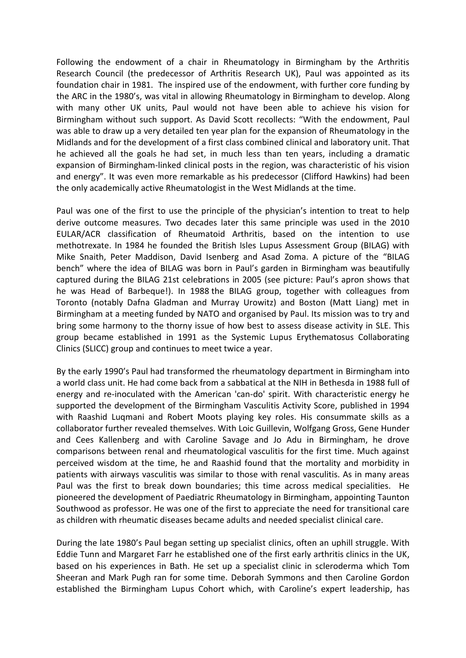Following the endowment of a chair in Rheumatology in Birmingham by the Arthritis Research Council (the predecessor of Arthritis Research UK), Paul was appointed as its foundation chair in 1981. The inspired use of the endowment, with further core funding by the ARC in the 1980's, was vital in allowing Rheumatology in Birmingham to develop. Along with many other UK units, Paul would not have been able to achieve his vision for Birmingham without such support. As David Scott recollects: "With the endowment, Paul was able to draw up a very detailed ten year plan for the expansion of Rheumatology in the Midlands and for the development of a first class combined clinical and laboratory unit. That he achieved all the goals he had set, in much less than ten years, including a dramatic expansion of Birmingham-linked clinical posts in the region, was characteristic of his vision and energy". It was even more remarkable as his predecessor (Clifford Hawkins) had been the only academically active Rheumatologist in the West Midlands at the time.

Paul was one of the first to use the principle of the physician's intention to treat to help derive outcome measures. Two decades later this same principle was used in the 2010 EULAR/ACR classification of Rheumatoid Arthritis, based on the intention to use methotrexate. In 1984 he founded the British Isles Lupus Assessment Group (BILAG) with Mike Snaith, Peter Maddison, David Isenberg and Asad Zoma. A picture of the "BILAG bench" where the idea of BILAG was born in Paul's garden in Birmingham was beautifully captured during the BILAG 21st celebrations in 2005 (see picture: Paul's apron shows that he was Head of Barbeque!). In 1988 the BILAG group, together with colleagues from Toronto (notably Dafna Gladman and Murray Urowitz) and Boston (Matt Liang) met in Birmingham at a meeting funded by NATO and organised by Paul. Its mission was to try and bring some harmony to the thorny issue of how best to assess disease activity in SLE. This group became established in 1991 as the Systemic Lupus Erythematosus Collaborating Clinics (SLICC) group and continues to meet twice a year.

By the early 1990's Paul had transformed the rheumatology department in Birmingham into a world class unit. He had come back from a sabbatical at the NIH in Bethesda in 1988 full of energy and re-inoculated with the American 'can-do' spirit. With characteristic energy he supported the development of the Birmingham Vasculitis Activity Score, published in 1994 with Raashid Luqmani and Robert Moots playing key roles. His consummate skills as a collaborator further revealed themselves. With Loic Guillevin, Wolfgang Gross, Gene Hunder and Cees Kallenberg and with Caroline Savage and Jo Adu in Birmingham, he drove comparisons between renal and rheumatological vasculitis for the first time. Much against perceived wisdom at the time, he and Raashid found that the mortality and morbidity in patients with airways vasculitis was similar to those with renal vasculitis. As in many areas Paul was the first to break down boundaries; this time across medical specialities. He pioneered the development of Paediatric Rheumatology in Birmingham, appointing Taunton Southwood as professor. He was one of the first to appreciate the need for transitional care as children with rheumatic diseases became adults and needed specialist clinical care.

During the late 1980's Paul began setting up specialist clinics, often an uphill struggle. With Eddie Tunn and Margaret Farr he established one of the first early arthritis clinics in the UK, based on his experiences in Bath. He set up a specialist clinic in scleroderma which Tom Sheeran and Mark Pugh ran for some time. Deborah Symmons and then Caroline Gordon established the Birmingham Lupus Cohort which, with Caroline's expert leadership, has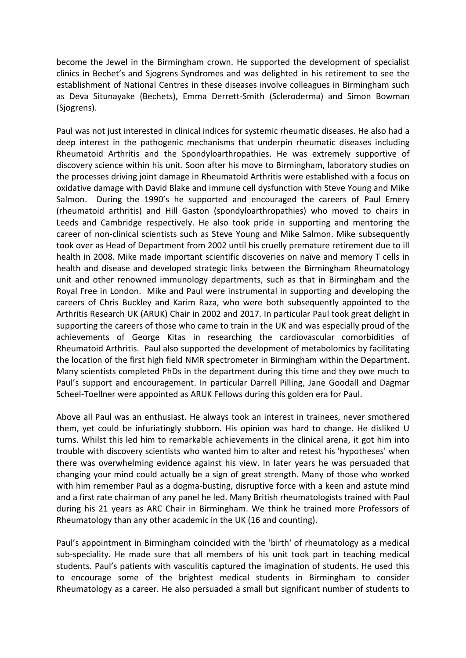become the Jewel in the Birmingham crown. He supported the development of specialist clinics in Bechet's and Sjogrens Syndromes and was delighted in his retirement to see the establishment of National Centres in these diseases involve colleagues in Birmingham such as Deva Situnayake (Bechets), Emma Derrett-Smith (Scleroderma) and Simon Bowman (Sjogrens).

Paul was not just interested in clinical indices for systemic rheumatic diseases. He also had a deep interest in the pathogenic mechanisms that underpin rheumatic diseases including Rheumatoid Arthritis and the Spondyloarthropathies. He was extremely supportive of discovery science within his unit. Soon after his move to Birmingham, laboratory studies on the processes driving joint damage in Rheumatoid Arthritis were established with a focus on oxidative damage with David Blake and immune cell dysfunction with Steve Young and Mike Salmon. During the 1990's he supported and encouraged the careers of Paul Emery (rheumatoid arthritis) and Hill Gaston (spondyloarthropathies) who moved to chairs in Leeds and Cambridge respectively. He also took pride in supporting and mentoring the career of non-clinical scientists such as Steve Young and Mike Salmon. Mike subsequently took over as Head of Department from 2002 until his cruelly premature retirement due to ill health in 2008. Mike made important scientific discoveries on naïve and memory T cells in health and disease and developed strategic links between the Birmingham Rheumatology unit and other renowned immunology departments, such as that in Birmingham and the Royal Free in London. Mike and Paul were instrumental in supporting and developing the careers of Chris Buckley and Karim Raza, who were both subsequently appointed to the Arthritis Research UK (ARUK) Chair in 2002 and 2017. In particular Paul took great delight in supporting the careers of those who came to train in the UK and was especially proud of the achievements of George Kitas in researching the cardiovascular comorbidities of Rheumatoid Arthritis. Paul also supported the development of metabolomics by facilitating the location of the first high field NMR spectrometer in Birmingham within the Department. Many scientists completed PhDs in the department during this time and they owe much to Paul's support and encouragement. In particular Darrell Pilling, Jane Goodall and Dagmar Scheel-Toellner were appointed as ARUK Fellows during this golden era for Paul.

Above all Paul was an enthusiast. He always took an interest in trainees, never smothered them, yet could be infuriatingly stubborn. His opinion was hard to change. He disliked U turns. Whilst this led him to remarkable achievements in the clinical arena, it got him into trouble with discovery scientists who wanted him to alter and retest his 'hypotheses' when there was overwhelming evidence against his view. In later years he was persuaded that changing your mind could actually be a sign of great strength. Many of those who worked with him remember Paul as a dogma-busting, disruptive force with a keen and astute mind and a first rate chairman of any panel he led. Many British rheumatologists trained with Paul during his 21 years as ARC Chair in Birmingham. We think he trained more Professors of Rheumatology than any other academic in the UK (16 and counting).

Paul's appointment in Birmingham coincided with the 'birth' of rheumatology as a medical sub-speciality. He made sure that all members of his unit took part in teaching medical students. Paul's patients with vasculitis captured the imagination of students. He used this to encourage some of the brightest medical students in Birmingham to consider Rheumatology as a career. He also persuaded a small but significant number of students to